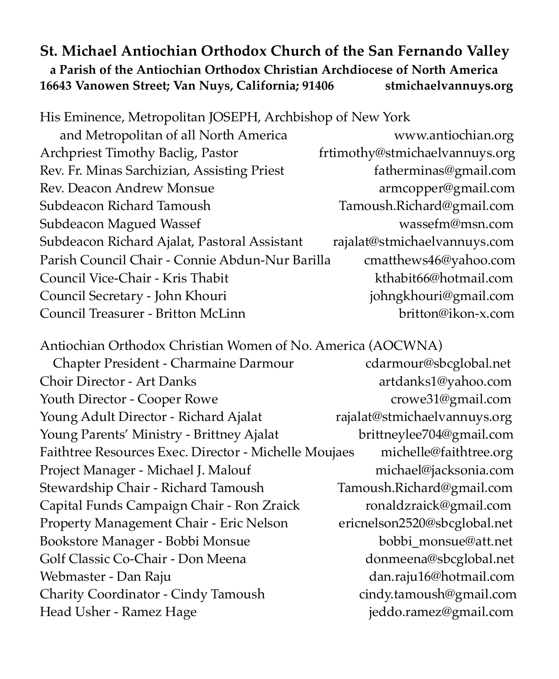### **St. Michael Antiochian Orthodox Church of the San Fernando Valley a Parish of the Antiochian Orthodox Christian Archdiocese of North America 16643 Vanowen Street; Van Nuys, California; 91406 stmichaelvannuys.org**

His Eminence, Metropolitan JOSEPH, Archbishop of New York

 and Metropolitan of all North America www.antiochian.org Archpriest Timothy Baclig, Pastor frtimothy@stmichaelvannuys.org Rev. Fr. Minas Sarchizian, Assisting Priest fatherminas@gmail.com Rev. Deacon Andrew Monsue **armcopper@gmail.com** Subdeacon Richard Tamoush Tamoush.Richard@gmail.com Subdeacon Magued Wassef wasser wassefm@msn.com Subdeacon Richard Ajalat, Pastoral Assistant rajalat@stmichaelvannuys.com Parish Council Chair - Connie Abdun-Nur Barilla cmatthews46@yahoo.com Council Vice-Chair - Kris Thabit kthabit66@hotmail.com Council Secretary - John Khouri johngkhouri@gmail.com Council Treasurer - Britton McLinn britton@ikon-x.com

Antiochian Orthodox Christian Women of No. America (AOCWNA) Chapter President - Charmaine Darmour cdarmour@sbcglobal.net Choir Director - Art Danks artdanks1@yahoo.com Youth Director - Cooper Rowe crowe31@gmail.com Young Adult Director - Richard Ajalat rajalat@stmichaelvannuys.org Young Parents' Ministry - Brittney Ajalat brittneylee704@gmail.com Faithtree Resources Exec. Director - Michelle Moujaes michelle@faithtree.org Project Manager - Michael J. Malouf [michael@jacksonia.com](mailto:michael@jacksonia.com) Stewardship Chair - Richard Tamoush Tamoush.Richard@gmail.com Capital Funds Campaign Chair - Ron Zraick [ronaldzraick@gmail.com](mailto:ronaldzraick@gmail.com) Property Management Chair - Eric Nelson ericnelson2520@sbcglobal.net Bookstore Manager - Bobbi Monsue bobbi\_monsue@att.net Golf Classic Co-Chair - Don Meena donmeena@sbcglobal.net Webmaster - Dan Raju dan.raju16@hotmail.com Charity Coordinator - Cindy Tamoush cindy.tamoush@gmail.com Head Usher - Ramez Hage [jeddo.ramez@gmail.com](mailto:jeddo.ramez@gmail.com)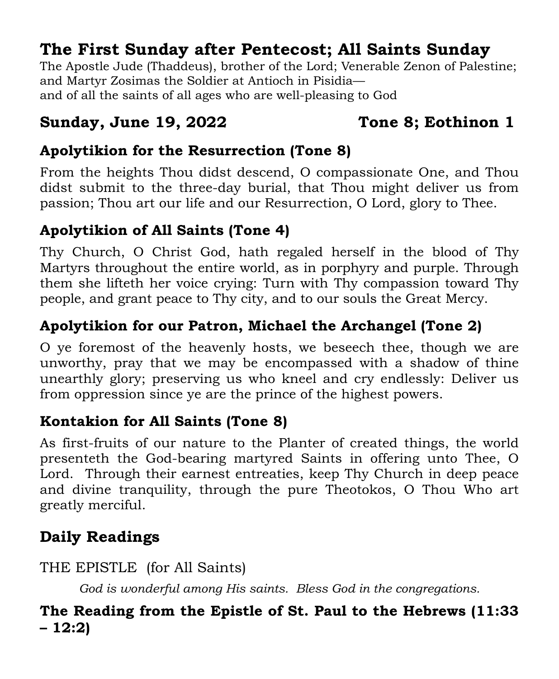## **The First Sunday after Pentecost; All Saints Sunday**

The Apostle Jude (Thaddeus), brother of the Lord; Venerable Zenon of Palestine; and Martyr Zosimas the Soldier at Antioch in Pisidia and of all the saints of all ages who are well-pleasing to God

### **Sunday, June 19, 2022 Tone 8; Eothinon 1**

### **Apolytikion for the Resurrection (Tone 8)**

From the heights Thou didst descend, O compassionate One, and Thou didst submit to the three-day burial, that Thou might deliver us from passion; Thou art our life and our Resurrection, O Lord, glory to Thee.

### **Apolytikion of All Saints (Tone 4)**

Thy Church, O Christ God, hath regaled herself in the blood of Thy Martyrs throughout the entire world, as in porphyry and purple. Through them she lifteth her voice crying: Turn with Thy compassion toward Thy people, and grant peace to Thy city, and to our souls the Great Mercy.

### **Apolytikion for our Patron, Michael the Archangel (Tone 2)**

O ye foremost of the heavenly hosts, we beseech thee, though we are unworthy, pray that we may be encompassed with a shadow of thine unearthly glory; preserving us who kneel and cry endlessly: Deliver us from oppression since ye are the prince of the highest powers.

### **Kontakion for All Saints (Tone 8)**

As first-fruits of our nature to the Planter of created things, the world presenteth the God-bearing martyred Saints in offering unto Thee, O Lord. Through their earnest entreaties, keep Thy Church in deep peace and divine tranquility, through the pure Theotokos, O Thou Who art greatly merciful.

## **Daily Readings**

THE EPISTLE (for All Saints)

*God is wonderful among His saints. Bless God in the congregations.* 

### **The Reading from the Epistle of St. Paul to the Hebrews (11:33 – 12:2)**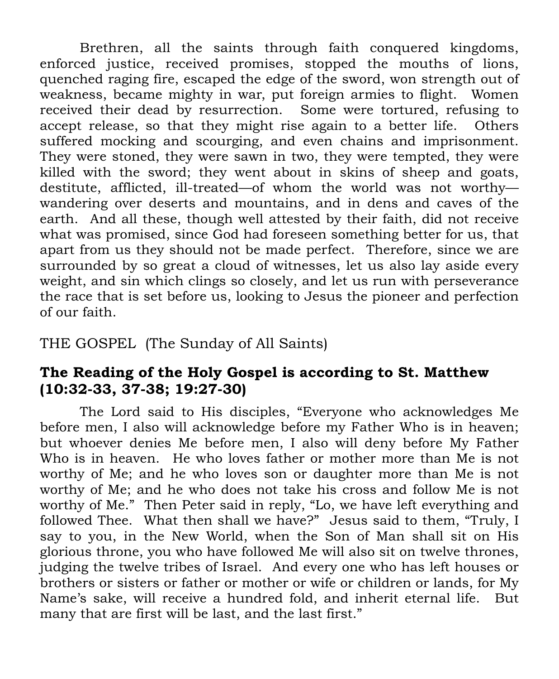Brethren, all the saints through faith conquered kingdoms, enforced justice, received promises, stopped the mouths of lions, quenched raging fire, escaped the edge of the sword, won strength out of weakness, became mighty in war, put foreign armies to flight. Women received their dead by resurrection. Some were tortured, refusing to accept release, so that they might rise again to a better life. Others suffered mocking and scourging, and even chains and imprisonment. They were stoned, they were sawn in two, they were tempted, they were killed with the sword; they went about in skins of sheep and goats, destitute, afflicted, ill-treated—of whom the world was not worthy wandering over deserts and mountains, and in dens and caves of the earth. And all these, though well attested by their faith, did not receive what was promised, since God had foreseen something better for us, that apart from us they should not be made perfect. Therefore, since we are surrounded by so great a cloud of witnesses, let us also lay aside every weight, and sin which clings so closely, and let us run with perseverance the race that is set before us, looking to Jesus the pioneer and perfection of our faith.

### THE GOSPEL (The Sunday of All Saints)

### **The Reading of the Holy Gospel is according to St. Matthew (10:32-33, 37-38; 19:27-30)**

The Lord said to His disciples, "Everyone who acknowledges Me before men, I also will acknowledge before my Father Who is in heaven; but whoever denies Me before men, I also will deny before My Father Who is in heaven. He who loves father or mother more than Me is not worthy of Me; and he who loves son or daughter more than Me is not worthy of Me; and he who does not take his cross and follow Me is not worthy of Me." Then Peter said in reply, "Lo, we have left everything and followed Thee. What then shall we have?" Jesus said to them, "Truly, I say to you, in the New World, when the Son of Man shall sit on His glorious throne, you who have followed Me will also sit on twelve thrones, judging the twelve tribes of Israel. And every one who has left houses or brothers or sisters or father or mother or wife or children or lands, for My Name's sake, will receive a hundred fold, and inherit eternal life. But many that are first will be last, and the last first."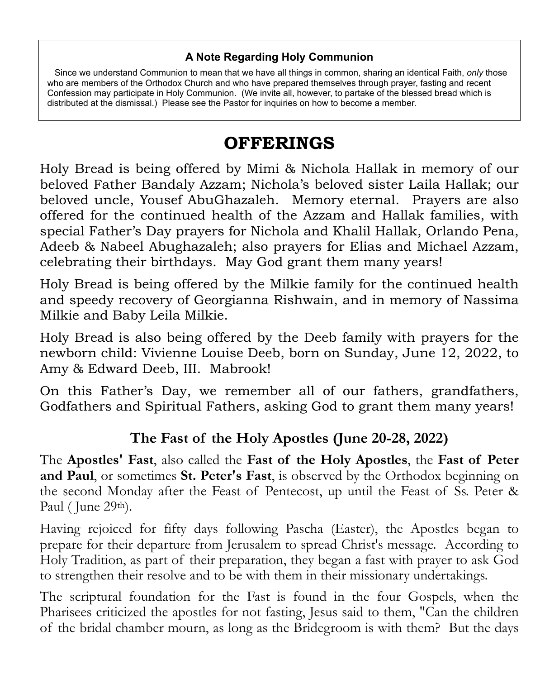### **A Note Regarding Holy Communion**

 Since we understand Communion to mean that we have all things in common, sharing an identical Faith, *only* those who are members of the Orthodox Church and who have prepared themselves through prayer, fasting and recent Confession may participate in Holy Communion. (We invite all, however, to partake of the blessed bread which is distributed at the dismissal.) Please see the Pastor for inquiries on how to become a member.

## **OFFERINGS**

Holy Bread is being offered by Mimi & Nichola Hallak in memory of our beloved Father Bandaly Azzam; Nichola's beloved sister Laila Hallak; our beloved uncle, Yousef AbuGhazaleh. Memory eternal. Prayers are also offered for the continued health of the Azzam and Hallak families, with special Father's Day prayers for Nichola and Khalil Hallak, Orlando Pena, Adeeb & Nabeel Abughazaleh; also prayers for Elias and Michael Azzam, celebrating their birthdays. May God grant them many years!

Holy Bread is being offered by the Milkie family for the continued health and speedy recovery of Georgianna Rishwain, and in memory of Nassima Milkie and Baby Leila Milkie.

Holy Bread is also being offered by the Deeb family with prayers for the newborn child: Vivienne Louise Deeb, born on Sunday, June 12, 2022, to Amy & Edward Deeb, III. Mabrook!

On this Father's Day, we remember all of our fathers, grandfathers, Godfathers and Spiritual Fathers, asking God to grant them many years!

### **The Fast of the Holy Apostles (June 20-28, 2022)**

The **Apostles' Fast**, also called the **Fast of the Holy Apostles**, the **Fast of Peter and Paul**, or sometimes **St. Peter's Fast**, is observed by the Orthodox beginning on the second Monday after the Feast of Pentecost, up until the Feast of Ss. Peter & Paul (June 29<sup>th</sup>).

Having rejoiced for fifty days following Pascha (Easter), the Apostles began to prepare for their departure from Jerusalem to spread Christ's message. According to Holy Tradition, as part of their preparation, they began a fast with prayer to ask God to strengthen their resolve and to be with them in their missionary undertakings.

The scriptural foundation for the Fast is found in the four Gospels, when the Pharisees criticized the apostles for not fasting, Jesus said to them, "Can the children of the bridal chamber mourn, as long as the Bridegroom is with them? But the days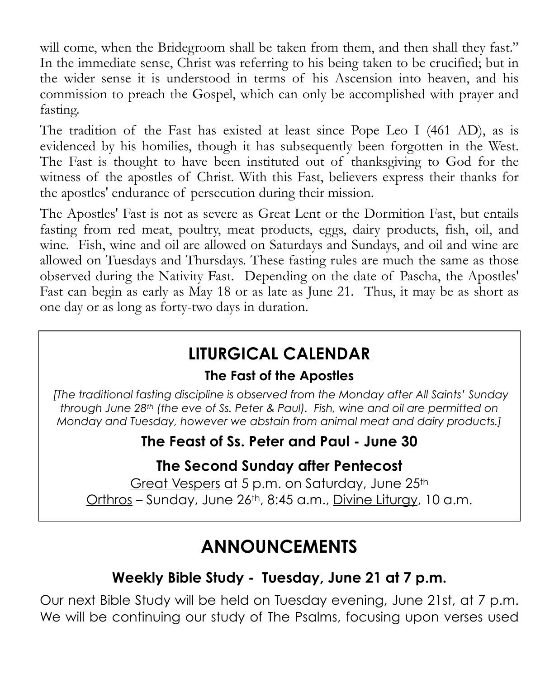will come, when the Bridegroom shall be taken from them, and then shall they fast." In the immediate sense, Christ was referring to his being taken to be crucified; but in the wider sense it is understood in terms of his Ascension into heaven, and his commission to preach the Gospel, which can only be accomplished with prayer and fasting.

The tradition of the Fast has existed at least since Pope Leo I (461 AD), as is evidenced by his homilies, though it has subsequently been forgotten in the West. The Fast is thought to have been instituted out of thanksgiving to God for the witness of the apostles of Christ. With this Fast, believers express their thanks for the apostles' endurance of persecution during their mission.

The Apostles' Fast is not as severe as Great Lent or the Dormition Fast, but entails fasting from red meat, poultry, meat products, eggs, dairy products, fish, oil, and wine. Fish, wine and oil are allowed on Saturdays and Sundays, and oil and wine are allowed on Tuesdays and Thursdays. These fasting rules are much the same as those observed during the Nativity Fast. Depending on the date of Pascha, the Apostles' Fast can begin as early as May 18 or as late as June 21. Thus, it may be as short as one day or as long as forty-two days in duration.

## **LITURGICAL CALENDAR**

### **The Fast of the Apostles**

*[The traditional fasting discipline is observed from the Monday after All Saints' Sunday through June 28th (the eve of Ss. Peter & Paul). Fish, wine and oil are permitted on Monday and Tuesday, however we abstain from animal meat and dairy products.]*

## **The Feast of Ss. Peter and Paul - June 30**

## **The Second Sunday after Pentecost**

Great Vespers at 5 p.m. on Saturday, June 25<sup>th</sup> Orthros - Sunday, June 26th, 8:45 a.m., Divine Liturgy, 10 a.m.

## **ANNOUNCEMENTS**

### **Weekly Bible Study - Tuesday, June 21 at 7 p.m.**

Our next Bible Study will be held on Tuesday evening, June 21st, at 7 p.m. We will be continuing our study of The Psalms, focusing upon verses used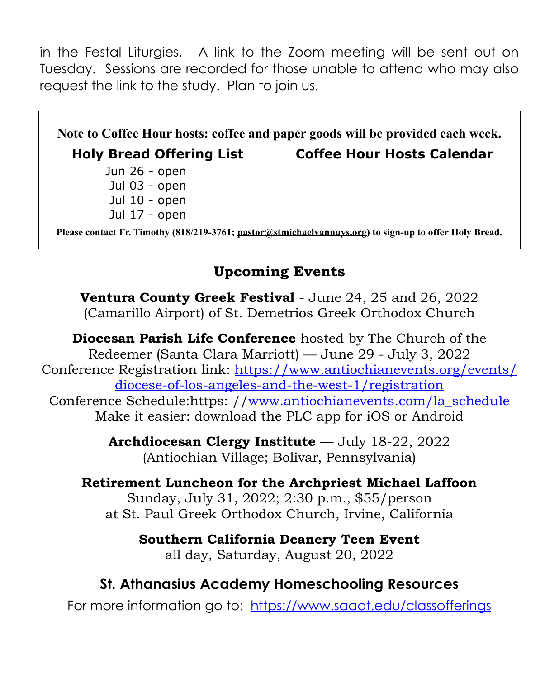in the Festal Liturgies. A link to the Zoom meeting will be sent out on Tuesday. Sessions are recorded for those unable to attend who may also request the link to the study. Plan to join us.

**Note to Coffee Hour hosts: coffee and paper goods will be provided each week. Holy Bread Offering List Coffee Hour Hosts Calendar** Jun 26 - open Jul 03 - open Jul 10 - open Jul 17 - open **Please contact Fr. Timothy (818/219-3761; pastor@stmichaelvannuys.org) to sign-up to offer Holy Bread.**

### **Upcoming Events**

**Ventura County Greek Festival** - June 24, 25 and 26, 2022 (Camarillo Airport) of St. Demetrios Greek Orthodox Church

**Diocesan Parish Life Conference** hosted by The Church of the Redeemer (Santa Clara Marriott) — June 29 - July 3, 2022 Conference [Registration link: https://www.antiochianevents.org/events/](https://www.antiochianevents.org/events/diocese-of-los-angeles-and-the-west-1/registration) [diocese-of-los-angeles-and-the-west-1/registration](https://www.antiochianevents.org/events/diocese-of-los-angeles-and-the-west-1/registration) Conference Schedule:https: /[/www.antiochianevents.com/la\\_schedule](http://www.antiochianevents.com/la_schedule) Make it easier: download the PLC app for iOS or Android

> **Archdiocesan Clergy Institute** — July 18-22, 2022 (Antiochian Village; Bolivar, Pennsylvania)

**Retirement Luncheon for the Archpriest Michael Laffoon**  Sunday, July 31, 2022; 2:30 p.m., \$55/person at St. Paul Greek Orthodox Church, Irvine, California

> **Southern California Deanery Teen Event** all day, Saturday, August 20, 2022

### **St. Athanasius Academy Homeschooling Resources**

For more information go to: <https://www.saaot.edu/classofferings>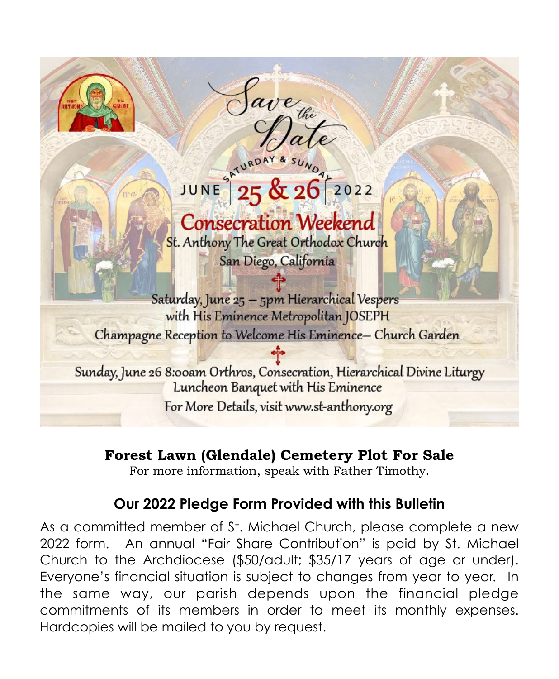

# JUNE 25 & 26 2022

ave the

# **Consecration Weekend**

St. Anthony The Great Orthodox Church San Diego, California

Saturday, June 25 - 5pm Hierarchical Vespers with His Eminence Metropolitan JOSEPH Champagne Reception to Welcome His Eminence- Church Garden

Sunday, June 26 8:00am Orthros, Consecration, Hierarchical Divine Liturgy Luncheon Banquet with His Eminence For More Details, visit www.st-anthony.org

### **Forest Lawn (Glendale) Cemetery Plot For Sale**

For more information, speak with Father Timothy.

## **Our 2022 Pledge Form Provided with this Bulletin**

As a committed member of St. Michael Church, please complete a new 2022 form. An annual "Fair Share Contribution" is paid by St. Michael Church to the Archdiocese (\$50/adult; \$35/17 years of age or under). Everyone's financial situation is subject to changes from year to year. In the same way, our parish depends upon the financial pledge commitments of its members in order to meet its monthly expenses. Hardcopies will be mailed to you by request.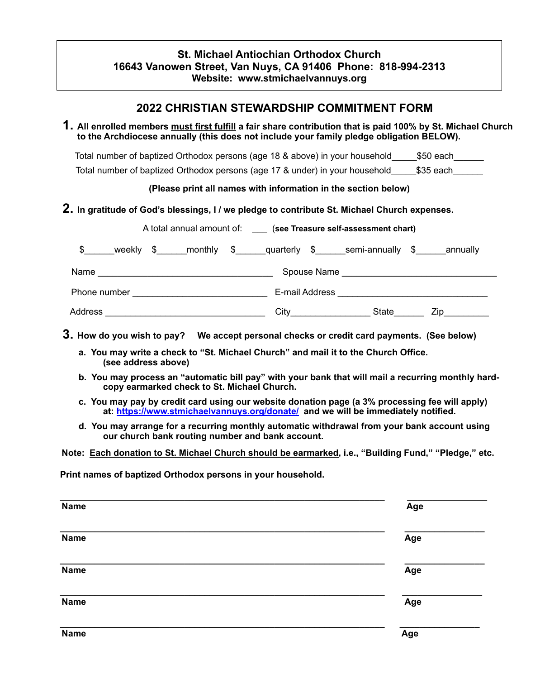### **St. Michael Antiochian Orthodox Church 16643 Vanowen Street, Van Nuys, CA 91406 Phone: 818-994-2313 Website: www.stmichaelvannuys.org**

### **2022 CHRISTIAN STEWARDSHIP COMMITMENT FORM 1. All enrolled members must first fulfill a fair share contribution that is paid 100% by St. Michael Church to the Archdiocese annually (this does not include your family pledge obligation BELOW).** Total number of baptized Orthodox persons (age 18 & above) in your household \_\_\_\_\_\_\_\_\_\_\_\_\_\_\_\_\_\_\_\_\_\_\_\_\_\_\_\_\_\_\_\_\_ Total number of baptized Orthodox persons (age 17 & under) in your household\_\_\_\_\_\$35 each\_\_\_\_\_\_ **(Please print all names with information in the section below) 2. In gratitude of God's blessings, I / we pledge to contribute St. Michael Church expenses.** A total annual amount of: \_\_\_ (**see Treasure self-assessment chart)**  \$ weekly \$ monthly \$ quarterly \$ semi-annually \$ annually Name \_\_\_\_\_\_\_\_\_\_\_\_\_\_\_\_\_\_\_\_\_\_\_\_\_\_\_\_\_\_\_\_\_\_\_ Spouse Name \_\_\_\_\_\_\_\_\_\_\_\_\_\_\_\_\_\_\_\_\_\_\_\_\_\_\_\_\_\_\_ Phone number \_\_\_\_\_\_\_\_\_\_\_\_\_\_\_\_\_\_\_\_\_\_\_\_\_\_\_ E-mail Address \_\_\_\_\_\_\_\_\_\_\_\_\_\_\_\_\_\_\_\_\_\_\_\_\_\_\_\_\_\_ Address \_\_\_\_\_\_\_\_\_\_\_\_\_\_\_\_\_\_\_\_\_\_\_\_\_\_\_\_\_\_\_\_ City\_\_\_\_\_\_\_\_\_\_\_\_\_\_\_\_ State\_\_\_\_\_\_ Zip\_\_\_\_\_\_\_\_\_ **3. How do you wish to pay? We accept personal checks or credit card payments. (See below) a. You may write a check to "St. Michael Church" and mail it to the Church Office. (see address above) b. You may process an "automatic bill pay" with your bank that will mail a recurring monthly hardcopy earmarked check to St. Michael Church. c. You may pay by credit card using our website donation page (a 3% processing fee will apply) at: https://www.stmichaelvannuys.org/donate/ and we will be immediately notified. d. You may arrange for a recurring monthly automatic withdrawal from your bank account using our church bank routing number and bank account. Note: Each donation to St. Michael Church should be earmarked, i.e., "Building Fund," "Pledge," etc. Print names of baptized Orthodox persons in your household. \_\_\_\_\_\_\_\_\_\_\_\_\_\_\_\_\_\_\_\_\_\_\_\_\_\_\_\_\_\_\_\_\_\_\_\_\_\_\_\_\_\_\_\_\_\_\_\_\_\_\_\_\_\_\_\_\_\_\_\_\_\_\_\_\_ \_\_\_\_\_\_\_\_\_\_\_\_\_\_\_\_ Name Age**

| Name        | Age |
|-------------|-----|
| <b>Name</b> | Age |
| <b>Name</b> | Age |
| <b>Name</b> | Age |
| <b>Name</b> | Age |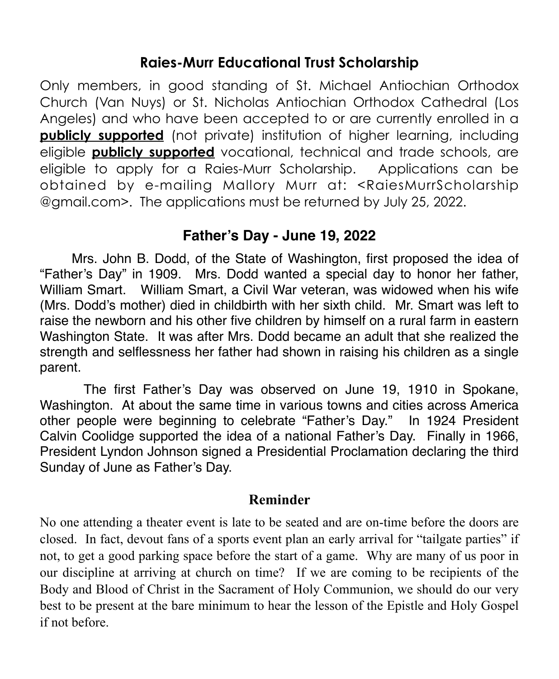### **Raies-Murr Educational Trust Scholarship**

Only members, in good standing of St. Michael Antiochian Orthodox Church (Van Nuys) or St. Nicholas Antiochian Orthodox Cathedral (Los Angeles) and who have been accepted to or are currently enrolled in a **publicly supported** (not private) institution of higher learning, including eligible **publicly supported** vocational, technical and trade schools, are eligible to apply for a Raies-Murr Scholarship. Applications can be obtained by e-mailing Mallory Murr at: <RaiesMurrScholarship @gmail.com>. The applications must be returned by July 25, 2022.

### **Father's Day - June 19, 2022**

Mrs. John B. Dodd, of the State of Washington, first proposed the idea of "Father's Day" in 1909. Mrs. Dodd wanted a special day to honor her father, William Smart. William Smart, a Civil War veteran, was widowed when his wife (Mrs. Dodd's mother) died in childbirth with her sixth child. Mr. Smart was left to raise the newborn and his other five children by himself on a rural farm in eastern Washington State. It was after Mrs. Dodd became an adult that she realized the strength and selflessness her father had shown in raising his children as a single parent.

 The first Father's Day was observed on June 19, 1910 in Spokane, Washington. At about the same time in various towns and cities across America other people were beginning to celebrate "Father's Day." In 1924 President Calvin Coolidge supported the idea of a national Father's Day. Finally in 1966, President Lyndon Johnson signed a Presidential Proclamation declaring the third Sunday of June as Father's Day.

### **Reminder**

No one attending a theater event is late to be seated and are on-time before the doors are closed. In fact, devout fans of a sports event plan an early arrival for "tailgate parties" if not, to get a good parking space before the start of a game. Why are many of us poor in our discipline at arriving at church on time? If we are coming to be recipients of the Body and Blood of Christ in the Sacrament of Holy Communion, we should do our very best to be present at the bare minimum to hear the lesson of the Epistle and Holy Gospel if not before.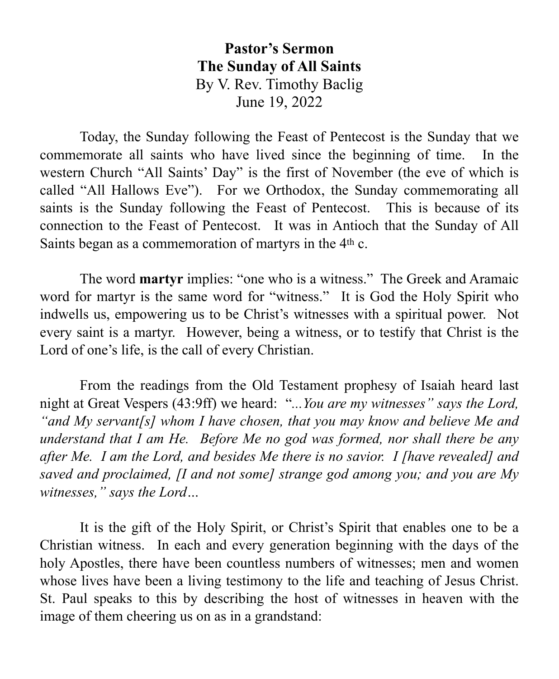**Pastor's Sermon The Sunday of All Saints** By V. Rev. Timothy Baclig June 19, 2022

Today, the Sunday following the Feast of Pentecost is the Sunday that we commemorate all saints who have lived since the beginning of time. In the western Church "All Saints' Day" is the first of November (the eve of which is called "All Hallows Eve"). For we Orthodox, the Sunday commemorating all saints is the Sunday following the Feast of Pentecost. This is because of its connection to the Feast of Pentecost. It was in Antioch that the Sunday of All Saints began as a commemoration of martyrs in the 4th c.

The word **martyr** implies: "one who is a witness." The Greek and Aramaic word for martyr is the same word for "witness." It is God the Holy Spirit who indwells us, empowering us to be Christ's witnesses with a spiritual power. Not every saint is a martyr. However, being a witness, or to testify that Christ is the Lord of one's life, is the call of every Christian.

From the readings from the Old Testament prophesy of Isaiah heard last night at Great Vespers (43:9ff) we heard: "*...You are my witnesses" says the Lord, "and My servant[s] whom I have chosen, that you may know and believe Me and understand that I am He. Before Me no god was formed, nor shall there be any after Me. I am the Lord, and besides Me there is no savior. I [have revealed] and saved and proclaimed, [I and not some] strange god among you; and you are My witnesses," says the Lord…*

It is the gift of the Holy Spirit, or Christ's Spirit that enables one to be a Christian witness. In each and every generation beginning with the days of the holy Apostles, there have been countless numbers of witnesses; men and women whose lives have been a living testimony to the life and teaching of Jesus Christ. St. Paul speaks to this by describing the host of witnesses in heaven with the image of them cheering us on as in a grandstand: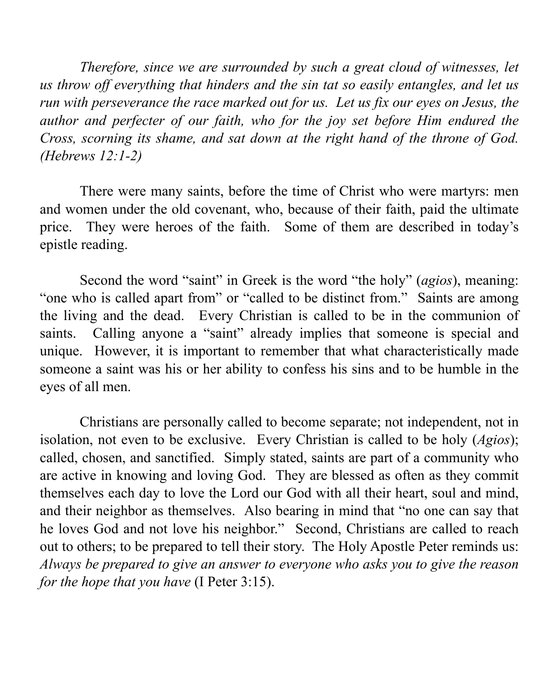*Therefore, since we are surrounded by such a great cloud of witnesses, let us throw off everything that hinders and the sin tat so easily entangles, and let us run with perseverance the race marked out for us. Let us fix our eyes on Jesus, the author and perfecter of our faith, who for the joy set before Him endured the Cross, scorning its shame, and sat down at the right hand of the throne of God. (Hebrews 12:1-2)*

There were many saints, before the time of Christ who were martyrs: men and women under the old covenant, who, because of their faith, paid the ultimate price. They were heroes of the faith. Some of them are described in today's epistle reading.

Second the word "saint" in Greek is the word "the holy" (*agios*), meaning: "one who is called apart from" or "called to be distinct from." Saints are among the living and the dead. Every Christian is called to be in the communion of saints. Calling anyone a "saint" already implies that someone is special and unique. However, it is important to remember that what characteristically made someone a saint was his or her ability to confess his sins and to be humble in the eyes of all men.

Christians are personally called to become separate; not independent, not in isolation, not even to be exclusive. Every Christian is called to be holy (*Agios*); called, chosen, and sanctified. Simply stated, saints are part of a community who are active in knowing and loving God. They are blessed as often as they commit themselves each day to love the Lord our God with all their heart, soul and mind, and their neighbor as themselves. Also bearing in mind that "no one can say that he loves God and not love his neighbor." Second, Christians are called to reach out to others; to be prepared to tell their story. The Holy Apostle Peter reminds us: *Always be prepared to give an answer to everyone who asks you to give the reason for the hope that you have* (I Peter 3:15).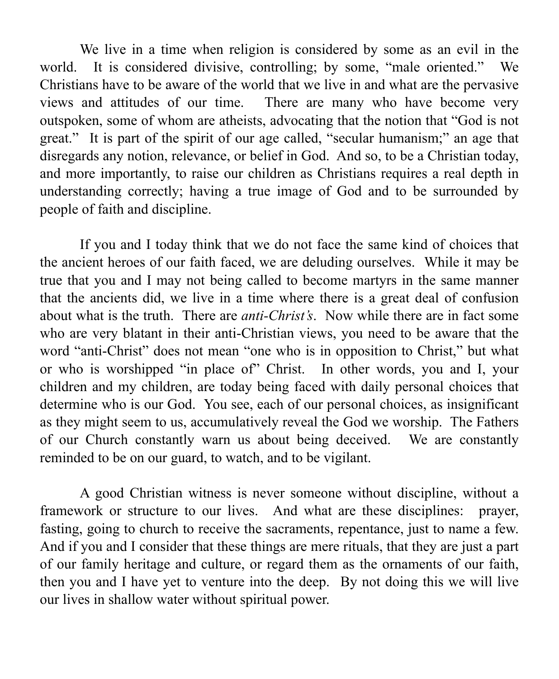We live in a time when religion is considered by some as an evil in the world. It is considered divisive, controlling; by some, "male oriented." We Christians have to be aware of the world that we live in and what are the pervasive views and attitudes of our time. There are many who have become very outspoken, some of whom are atheists, advocating that the notion that "God is not great." It is part of the spirit of our age called, "secular humanism;" an age that disregards any notion, relevance, or belief in God. And so, to be a Christian today, and more importantly, to raise our children as Christians requires a real depth in understanding correctly; having a true image of God and to be surrounded by people of faith and discipline.

If you and I today think that we do not face the same kind of choices that the ancient heroes of our faith faced, we are deluding ourselves. While it may be true that you and I may not being called to become martyrs in the same manner that the ancients did, we live in a time where there is a great deal of confusion about what is the truth. There are *anti-Christ's*. Now while there are in fact some who are very blatant in their anti-Christian views, you need to be aware that the word "anti-Christ" does not mean "one who is in opposition to Christ," but what or who is worshipped "in place of" Christ. In other words, you and I, your children and my children, are today being faced with daily personal choices that determine who is our God. You see, each of our personal choices, as insignificant as they might seem to us, accumulatively reveal the God we worship. The Fathers of our Church constantly warn us about being deceived. We are constantly reminded to be on our guard, to watch, and to be vigilant.

A good Christian witness is never someone without discipline, without a framework or structure to our lives. And what are these disciplines: prayer, fasting, going to church to receive the sacraments, repentance, just to name a few. And if you and I consider that these things are mere rituals, that they are just a part of our family heritage and culture, or regard them as the ornaments of our faith, then you and I have yet to venture into the deep. By not doing this we will live our lives in shallow water without spiritual power.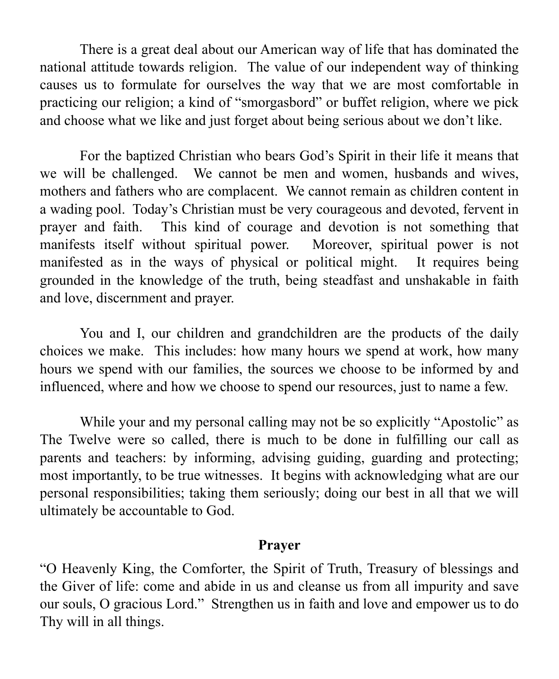There is a great deal about our American way of life that has dominated the national attitude towards religion. The value of our independent way of thinking causes us to formulate for ourselves the way that we are most comfortable in practicing our religion; a kind of "smorgasbord" or buffet religion, where we pick and choose what we like and just forget about being serious about we don't like.

For the baptized Christian who bears God's Spirit in their life it means that we will be challenged. We cannot be men and women, husbands and wives, mothers and fathers who are complacent. We cannot remain as children content in a wading pool. Today's Christian must be very courageous and devoted, fervent in prayer and faith. This kind of courage and devotion is not something that manifests itself without spiritual power. Moreover, spiritual power is not manifested as in the ways of physical or political might. It requires being grounded in the knowledge of the truth, being steadfast and unshakable in faith and love, discernment and prayer.

You and I, our children and grandchildren are the products of the daily choices we make. This includes: how many hours we spend at work, how many hours we spend with our families, the sources we choose to be informed by and influenced, where and how we choose to spend our resources, just to name a few.

While your and my personal calling may not be so explicitly "Apostolic" as The Twelve were so called, there is much to be done in fulfilling our call as parents and teachers: by informing, advising guiding, guarding and protecting; most importantly, to be true witnesses. It begins with acknowledging what are our personal responsibilities; taking them seriously; doing our best in all that we will ultimately be accountable to God.

### **Prayer**

"O Heavenly King, the Comforter, the Spirit of Truth, Treasury of blessings and the Giver of life: come and abide in us and cleanse us from all impurity and save our souls, O gracious Lord." Strengthen us in faith and love and empower us to do Thy will in all things.